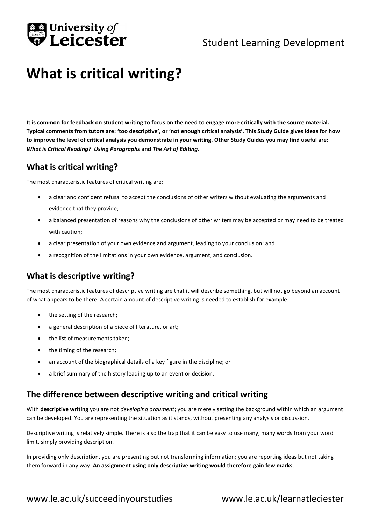

## Student Learning Development

# **What is critical writing?**

**It is common for feedback on student writing to focus on the need to engage more critically with the source material. Typical comments from tutors are: 'too descriptive', or 'not enough critical analysis'. This Study Guide gives ideas for how to improve the level of critical analysis you demonstrate in your writing. Other Study Guides you may find useful are:**  *What is Critical Reading? Using Paragraphs* **and** *The Art of Editing***.**

#### **What is critical writing?**

The most characteristic features of critical writing are:

- a clear and confident refusal to accept the conclusions of other writers without evaluating the arguments and evidence that they provide;
- a balanced presentation of reasons why the conclusions of other writers may be accepted or may need to be treated with caution;
- a clear presentation of your own evidence and argument, leading to your conclusion; and
- a recognition of the limitations in your own evidence, argument, and conclusion.

### **What is descriptive writing?**

The most characteristic features of descriptive writing are that it will describe something, but will not go beyond an account of what appears to be there. A certain amount of descriptive writing is needed to establish for example:

- the setting of the research;
- a general description of a piece of literature, or art;
- the list of measurements taken;
- the timing of the research;
- an account of the biographical details of a key figure in the discipline; or
- a brief summary of the history leading up to an event or decision.

#### **The difference between descriptive writing and critical writing**

With **descriptive writing** you are not *developing argument*; you are merely setting the background within which an argument can be developed. You are representing the situation as it stands, without presenting any analysis or discussion.

Descriptive writing is relatively simple. There is also the trap that it can be easy to use many, many words from your word limit, simply providing description.

In providing only description, you are presenting but not transforming information; you are reporting ideas but not taking them forward in any way. **An assignment using only descriptive writing would therefore gain few marks**.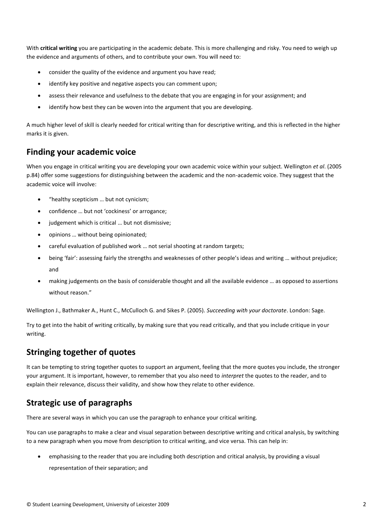With **critical writing** you are participating in the academic debate. This is more challenging and risky. You need to weigh up the evidence and arguments of others, and to contribute your own. You will need to:

- consider the quality of the evidence and argument you have read;
- identify key positive and negative aspects you can comment upon;
- assess their relevance and usefulness to the debate that you are engaging in for your assignment; and
- identify how best they can be woven into the argument that you are developing.

A much higher level of skill is clearly needed for critical writing than for descriptive writing, and this is reflected in the higher marks it is given.

#### **Finding your academic voice**

When you engage in critical writing you are developing your own academic voice within your subject. Wellington *et al*. (2005 p.84) offer some suggestions for distinguishing between the academic and the non-academic voice. They suggest that the academic voice will involve:

- "healthy scepticism … but not cynicism;
- confidence … but not 'cockiness' or arrogance;
- judgement which is critical ... but not dismissive;
- opinions … without being opinionated;
- careful evaluation of published work … not serial shooting at random targets;
- being 'fair': assessing fairly the strengths and weaknesses of other people's ideas and writing … without prejudice; and
- making judgements on the basis of considerable thought and all the available evidence … as opposed to assertions without reason."

Wellington J., Bathmaker A., Hunt C., McCulloch G. and Sikes P. (2005). *Succeeding with your doctorate*. London: Sage.

Try to get into the habit of writing critically, by making sure that you read critically, and that you include critique in your writing.

## **Stringing together of quotes**

It can be tempting to string together quotes to support an argument, feeling that the more quotes you include, the stronger your argument. It is important, however, to remember that you also need to *interpret* the quotes to the reader, and to explain their relevance, discuss their validity, and show how they relate to other evidence.

## **Strategic use of paragraphs**

There are several ways in which you can use the paragraph to enhance your critical writing.

You can use paragraphs to make a clear and visual separation between descriptive writing and critical analysis, by switching to a new paragraph when you move from description to critical writing, and vice versa. This can help in:

 emphasising to the reader that you are including both description and critical analysis, by providing a visual representation of their separation; and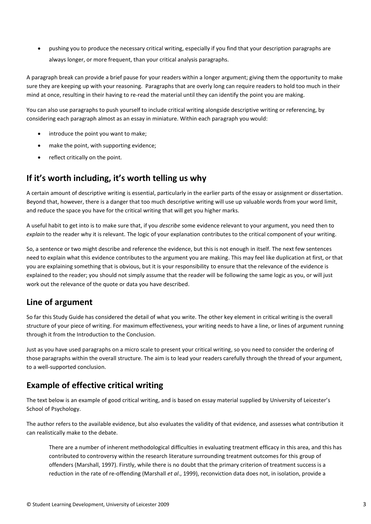pushing you to produce the necessary critical writing, especially if you find that your description paragraphs are always longer, or more frequent, than your critical analysis paragraphs.

A paragraph break can provide a brief pause for your readers within a longer argument; giving them the opportunity to make sure they are keeping up with your reasoning. Paragraphs that are overly long can require readers to hold too much in their mind at once, resulting in their having to re-read the material until they can identify the point you are making.

You can also use paragraphs to push yourself to include critical writing alongside descriptive writing or referencing, by considering each paragraph almost as an essay in miniature. Within each paragraph you would:

- introduce the point you want to make;
- make the point, with supporting evidence;
- reflect critically on the point.

#### **If it's worth including, it's worth telling us why**

A certain amount of descriptive writing is essential, particularly in the earlier parts of the essay or assignment or dissertation. Beyond that, however, there is a danger that too much descriptive writing will use up valuable words from your word limit, and reduce the space you have for the critical writing that will get you higher marks.

A useful habit to get into is to make sure that, if you *describe* some evidence relevant to your argument, you need then to *explain* to the reader why it is relevant. The logic of your explanation contributes to the critical component of your writing.

So, a sentence or two might describe and reference the evidence, but this is not enough in itself. The next few sentences need to explain what this evidence contributes to the argument you are making. This may feel like duplication at first, or that you are explaining something that is obvious, but it is your responsibility to ensure that the relevance of the evidence is explained to the reader; you should not simply assume that the reader will be following the same logic as you, or will just work out the relevance of the quote or data you have described.

#### **Line of argument**

So far this Study Guide has considered the detail of what you write. The other key element in critical writing is the overall structure of your piece of writing. For maximum effectiveness, your writing needs to have a line, or lines of argument running through it from the Introduction to the Conclusion.

Just as you have used paragraphs on a micro scale to present your critical writing, so you need to consider the ordering of those paragraphs within the overall structure. The aim is to lead your readers carefully through the thread of your argument, to a well-supported conclusion.

#### **Example of effective critical writing**

The text below is an example of good critical writing, and is based on essay material supplied by University of Leicester's School of Psychology.

The author refers to the available evidence, but also evaluates the validity of that evidence, and assesses what contribution it can realistically make to the debate.

There are a number of inherent methodological difficulties in evaluating treatment efficacy in this area, and this has contributed to controversy within the research literature surrounding treatment outcomes for this group of offenders (Marshall, 1997). Firstly, while there is no doubt that the primary criterion of treatment success is a reduction in the rate of re-offending (Marshall *et al*., 1999), reconviction data does not, in isolation, provide a